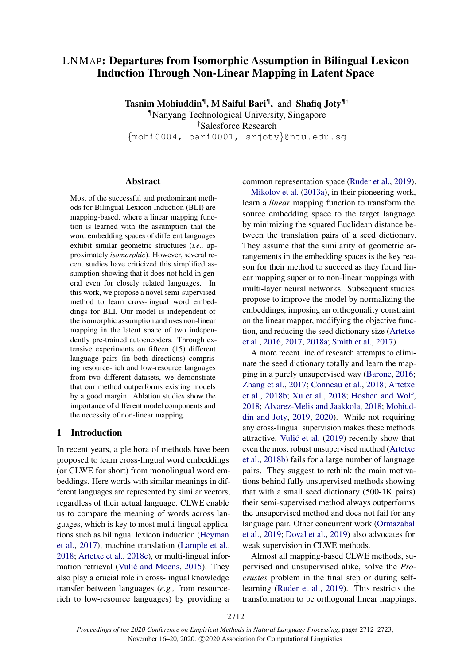# LNMAP: Departures from Isomorphic Assumption in Bilingual Lexicon Induction Through Non-Linear Mapping in Latent Space

Tasnim Mohiuddin<sup>¶</sup>, M Saiful Bari<sup>¶</sup>, and Shafiq Joty<sup>¶†</sup>

¶Nanyang Technological University, Singapore †Salesforce Research

{mohi0004, bari0001, srjoty}@ntu.edu.sg

#### Abstract

Most of the successful and predominant methods for Bilingual Lexicon Induction (BLI) are mapping-based, where a linear mapping function is learned with the assumption that the word embedding spaces of different languages exhibit similar geometric structures (*i.e.,* approximately *isomorphic*). However, several recent studies have criticized this simplified assumption showing that it does not hold in general even for closely related languages. In this work, we propose a novel semi-supervised method to learn cross-lingual word embeddings for BLI. Our model is independent of the isomorphic assumption and uses non-linear mapping in the latent space of two independently pre-trained autoencoders. Through extensive experiments on fifteen (15) different language pairs (in both directions) comprising resource-rich and low-resource languages from two different datasets, we demonstrate that our method outperforms existing models by a good margin. Ablation studies show the importance of different model components and the necessity of non-linear mapping.

### 1 Introduction

In recent years, a plethora of methods have been proposed to learn cross-lingual word embeddings (or CLWE for short) from monolingual word embeddings. Here words with similar meanings in different languages are represented by similar vectors, regardless of their actual language. CLWE enable us to compare the meaning of words across languages, which is key to most multi-lingual applications such as bilingual lexicon induction [\(Heyman](#page-9-0) [et al.,](#page-9-0) [2017\)](#page-9-0), machine translation [\(Lample et al.,](#page-9-1) [2018;](#page-9-1) [Artetxe et al.,](#page-9-2) [2018c\)](#page-9-2), or multi-lingual infor-mation retrieval (Vulić and Moens, [2015\)](#page-10-0). They also play a crucial role in cross-lingual knowledge transfer between languages (*e.g.,* from resourcerich to low-resource languages) by providing a

common representation space [\(Ruder et al.,](#page-10-1) [2019\)](#page-10-1).

[Mikolov et al.](#page-9-3) [\(2013a\)](#page-9-3), in their pioneering work, learn a *linear* mapping function to transform the source embedding space to the target language by minimizing the squared Euclidean distance between the translation pairs of a seed dictionary. They assume that the similarity of geometric arrangements in the embedding spaces is the key reason for their method to succeed as they found linear mapping superior to non-linear mappings with multi-layer neural networks. Subsequent studies propose to improve the model by normalizing the embeddings, imposing an orthogonality constraint on the linear mapper, modifying the objective function, and reducing the seed dictionary size [\(Artetxe](#page-9-4) [et al.,](#page-9-4) [2016,](#page-9-4) [2017,](#page-9-5) [2018a;](#page-9-6) [Smith et al.,](#page-10-2) [2017\)](#page-10-2).

A more recent line of research attempts to eliminate the seed dictionary totally and learn the mapping in a purely unsupervised way [\(Barone,](#page-9-7) [2016;](#page-9-7) [Zhang et al.,](#page-10-3) [2017;](#page-10-3) [Conneau et al.,](#page-9-8) [2018;](#page-9-8) [Artetxe](#page-9-9) [et al.,](#page-9-9) [2018b;](#page-9-9) [Xu et al.,](#page-10-4) [2018;](#page-10-4) [Hoshen and Wolf,](#page-9-10) [2018;](#page-9-10) [Alvarez-Melis and Jaakkola,](#page-9-11) [2018;](#page-9-11) [Mohiud](#page-9-12)[din and Joty,](#page-9-12) [2019,](#page-9-12) [2020\)](#page-9-13). While not requiring any cross-lingual supervision makes these methods attractive, Vulić et al.  $(2019)$  recently show that even the most robust unsupervised method [\(Artetxe](#page-9-9) [et al.,](#page-9-9) [2018b\)](#page-9-9) fails for a large number of language pairs. They suggest to rethink the main motivations behind fully unsupervised methods showing that with a small seed dictionary (500-1K pairs) their semi-supervised method always outperforms the unsupervised method and does not fail for any language pair. Other concurrent work [\(Ormazabal](#page-10-6) [et al.,](#page-10-6) [2019;](#page-10-6) [Doval et al.,](#page-9-14) [2019\)](#page-9-14) also advocates for weak supervision in CLWE methods.

Almost all mapping-based CLWE methods, supervised and unsupervised alike, solve the *Procrustes* problem in the final step or during selflearning [\(Ruder et al.,](#page-10-1) [2019\)](#page-10-1). This restricts the transformation to be orthogonal linear mappings.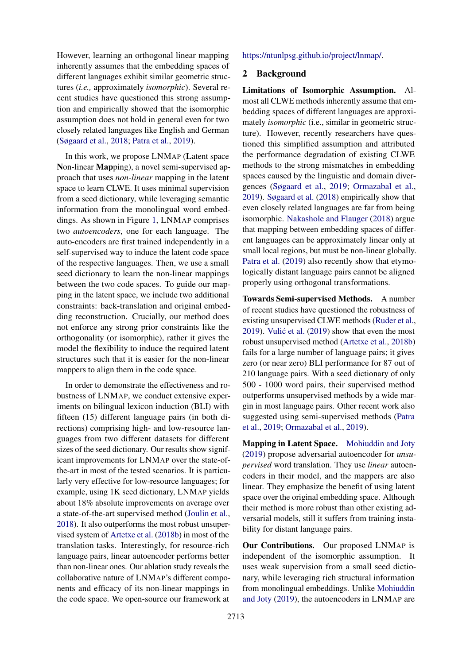However, learning an orthogonal linear mapping inherently assumes that the embedding spaces of different languages exhibit similar geometric structures (*i.e.,* approximately *isomorphic*). Several recent studies have questioned this strong assumption and empirically showed that the isomorphic assumption does not hold in general even for two closely related languages like English and German [\(Søgaard et al.,](#page-10-7) [2018;](#page-10-7) [Patra et al.,](#page-10-8) [2019\)](#page-10-8).

In this work, we propose LNMAP (Latent space Non-linear Mapping), a novel semi-supervised approach that uses *non-linear* mapping in the latent space to learn CLWE. It uses minimal supervision from a seed dictionary, while leveraging semantic information from the monolingual word embeddings. As shown in Figure [1,](#page-2-0) LNMAP comprises two *autoencoders*, one for each language. The auto-encoders are first trained independently in a self-supervised way to induce the latent code space of the respective languages. Then, we use a small seed dictionary to learn the non-linear mappings between the two code spaces. To guide our mapping in the latent space, we include two additional constraints: back-translation and original embedding reconstruction. Crucially, our method does not enforce any strong prior constraints like the orthogonality (or isomorphic), rather it gives the model the flexibility to induce the required latent structures such that it is easier for the non-linear mappers to align them in the code space.

In order to demonstrate the effectiveness and robustness of LNMAP, we conduct extensive experiments on bilingual lexicon induction (BLI) with fifteen (15) different language pairs (in both directions) comprising high- and low-resource languages from two different datasets for different sizes of the seed dictionary. Our results show significant improvements for LNMAP over the state-ofthe-art in most of the tested scenarios. It is particularly very effective for low-resource languages; for example, using 1K seed dictionary, LNMAP yields about 18% absolute improvements on average over a state-of-the-art supervised method [\(Joulin et al.,](#page-9-15) [2018\)](#page-9-15). It also outperforms the most robust unsupervised system of [Artetxe et al.](#page-9-9) [\(2018b\)](#page-9-9) in most of the translation tasks. Interestingly, for resource-rich language pairs, linear autoencoder performs better than non-linear ones. Our ablation study reveals the collaborative nature of LNMAP's different components and efficacy of its non-linear mappings in the code space. We open-source our framework at

[https://ntunlpsg.github.io/project/lnmap/.](https://ntunlpsg.github.io/project/lnmap/)

## 2 Background

Limitations of Isomorphic Assumption. Almost all CLWE methods inherently assume that embedding spaces of different languages are approximately *isomorphic* (i.e., similar in geometric structure). However, recently researchers have questioned this simplified assumption and attributed the performance degradation of existing CLWE methods to the strong mismatches in embedding spaces caused by the linguistic and domain divergences [\(Søgaard et al.,](#page-10-9) [2019;](#page-10-9) [Ormazabal et al.,](#page-10-6) [2019\)](#page-10-6). [Søgaard et al.](#page-10-7) [\(2018\)](#page-10-7) empirically show that even closely related languages are far from being isomorphic. [Nakashole and Flauger](#page-10-10) [\(2018\)](#page-10-10) argue that mapping between embedding spaces of different languages can be approximately linear only at small local regions, but must be non-linear globally. [Patra et al.](#page-10-8) [\(2019\)](#page-10-8) also recently show that etymologically distant language pairs cannot be aligned properly using orthogonal transformations.

Towards Semi-supervised Methods. A number of recent studies have questioned the robustness of existing unsupervised CLWE methods [\(Ruder et al.,](#page-10-1)  $2019$ ). Vulić et al.  $(2019)$  $(2019)$  show that even the most robust unsupervised method [\(Artetxe et al.,](#page-9-9) [2018b\)](#page-9-9) fails for a large number of language pairs; it gives zero (or near zero) BLI performance for 87 out of 210 language pairs. With a seed dictionary of only 500 - 1000 word pairs, their supervised method outperforms unsupervised methods by a wide margin in most language pairs. Other recent work also suggested using semi-supervised methods [\(Patra](#page-10-8) [et al.,](#page-10-8) [2019;](#page-10-8) [Ormazabal et al.,](#page-10-6) [2019\)](#page-10-6).

Mapping in Latent Space. [Mohiuddin and Joty](#page-9-12) [\(2019\)](#page-9-12) propose adversarial autoencoder for *unsupervised* word translation. They use *linear* autoencoders in their model, and the mappers are also linear. They emphasize the benefit of using latent space over the original embedding space. Although their method is more robust than other existing adversarial models, still it suffers from training instability for distant language pairs.

Our Contributions. Our proposed LNMAP is independent of the isomorphic assumption. It uses weak supervision from a small seed dictionary, while leveraging rich structural information from monolingual embeddings. Unlike [Mohiuddin](#page-9-12) [and Joty](#page-9-12) [\(2019\)](#page-9-12), the autoencoders in LNMAP are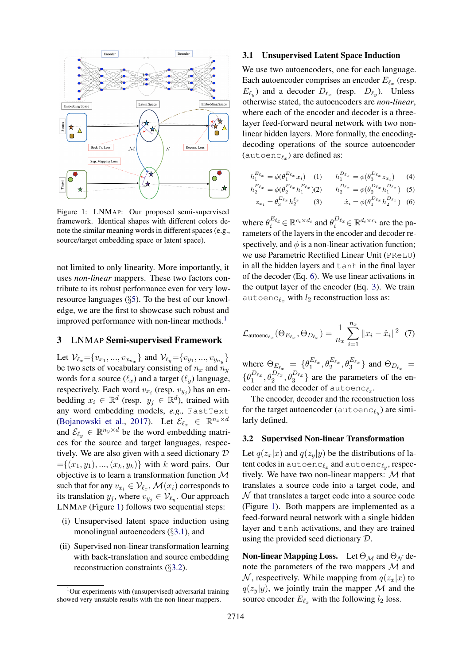<span id="page-2-0"></span>

Figure 1: LNMAP: Our proposed semi-supervised framework. Identical shapes with different colors denote the similar meaning words in different spaces (e.g., source/target embedding space or latent space).

not limited to only linearity. More importantly, it uses *non-linear* mappers. These two factors contribute to its robust performance even for very lowresource languages (§[5\)](#page-5-0). To the best of our knowledge, we are the first to showcase such robust and improved performance with non-linear methods.<sup>[1](#page-2-1)</sup>

#### 3 LNMAP Semi-supervised Framework

Let  $\mathcal{V}_{\ell_x} = \{v_{x_1}, ..., v_{x_{n_x}}\}$  and  $\mathcal{V}_{\ell_y} = \{v_{y_1}, ..., v_{y_{n_y}}\}$ be two sets of vocabulary consisting of  $n_x$  and  $n_y$ words for a source  $(\ell_x)$  and a target  $(\ell_y)$  language, respectively. Each word  $v_{x_i}$  (resp.  $v_{y_j}$ ) has an embedding  $x_i \in \mathbb{R}^d$  (resp.  $y_j \in \mathbb{R}^d$ ), trained with any word embedding models, *e.g.,* FastText [\(Bojanowski et al.,](#page-9-16) [2017\)](#page-9-16). Let  $\mathcal{E}_{\ell_x} \in \mathbb{R}^{n_x \times d}$ and  $\mathcal{E}_{\ell_y} \in \mathbb{R}^{n_y \times d}$  be the word embedding matrices for the source and target languages, respectively. We are also given with a seed dictionary D  $=\{(x_1, y_1), ..., (x_k, y_k)\}\$  with k word pairs. Our objective is to learn a transformation function M such that for any  $v_{x_i} \in \mathcal{V}_{\ell_x}$ ,  $\mathcal{M}(x_i)$  corresponds to its translation  $y_j$ , where  $v_{y_j} \in V_{\ell_y}$ . Our approach LNMAP (Figure [1\)](#page-2-0) follows two sequential steps:

- (i) Unsupervised latent space induction using monolingual autoencoders (§[3.1\)](#page-2-2), and
- (ii) Supervised non-linear transformation learning with back-translation and source embedding reconstruction constraints (§[3.2\)](#page-2-3).

#### <span id="page-2-2"></span>3.1 Unsupervised Latent Space Induction

We use two autoencoders, one for each language. Each autoencoder comprises an encoder  $E_{\ell_x}$  (resp.  $E_{\ell_y}$ ) and a decoder  $D_{\ell_x}$  (resp.  $D_{\ell_y}$ ). Unless otherwise stated, the autoencoders are *non-linear*, where each of the encoder and decoder is a threelayer feed-forward neural network with two nonlinear hidden layers. More formally, the encodingdecoding operations of the source autoencoder (autoenc $_{\ell_x}$ ) are defined as:

<span id="page-2-5"></span>
$$
h_1^{E_{\ell_x}} = \phi(\theta_1^{E_{\ell_x}} x_i) \quad (1) \qquad h_1^{D_{\ell_x}} = \phi(\theta_3^{D_{\ell_x}} z_{x_i}) \quad (4)
$$

$$
h_2^{E_{\ell_x}} = \phi(\theta_2^{E_{\ell_x}} h_1^{E_{\ell_x}}) \quad (2) \qquad h_2^{D_{\ell_x}} = \phi(\theta_2^{D_{\ell_x}} h_1^{D_{\ell_x}}) \quad (5)
$$

<span id="page-2-4"></span>
$$
z_{x_i} = \theta_3^{E_{\ell_x}} h_2^{\ell_x} \qquad (3) \qquad \hat{x}_i = \phi(\theta_1^{D_{\ell_x}} h_2^{D_{\ell_x}}) \quad (6)
$$

where  $\theta_i^{E_{\ell_x}} \in \mathbb{R}^{c_i \times d_i}$  and  $\theta_i^{D_{\ell_x}} \in \mathbb{R}^{d_i \times c_i}$  are the parameters of the layers in the encoder and decoder respectively, and  $\phi$  is a non-linear activation function; we use Parametric Rectified Linear Unit (PReLU) in all the hidden layers and tanh in the final layer of the decoder (Eq. [6\)](#page-2-4). We use linear activations in the output layer of the encoder (Eq. [3\)](#page-2-5). We train autoenc $\ell_x$  with  $l_2$  reconstruction loss as:

$$
\mathcal{L}_{\text{autoenc}_{\ell_x}}(\Theta_{E_{\ell_x}}, \Theta_{D_{\ell_x}}) = \frac{1}{n_x} \sum_{i=1}^{n_x} ||x_i - \hat{x}_i||^2 \tag{7}
$$

where  $\Theta_{E_{\ell_x}} = \{\theta_1^{E_{\ell_x}}, \theta_2^{E_{\ell_x}}, \theta_3^{E_{\ell_x}}\}$  and  $\Theta_{D_{\ell_x}} =$  $\{\theta_1^{D_{\ell_x}}, \theta_2^{D_{\ell_x}}, \theta_3^{D_{\ell_x}}\}\$ are the parameters of the encoder and the decoder of autoenc $e_x$ .

The encoder, decoder and the reconstruction loss for the target autoencoder ( $\text{autoenc}_{\ell_y}$ ) are similarly defined.

### <span id="page-2-3"></span>3.2 Supervised Non-linear Transformation

Let  $q(z_x|x)$  and  $q(z_y|y)$  be the distributions of latent codes in autoenc $\ell_x$  and autoenc $\ell_y$ , respectively. We have two non-linear mappers:  $M$  that translates a source code into a target code, and  $\mathcal N$  that translates a target code into a source code (Figure [1\)](#page-2-0). Both mappers are implemented as a feed-forward neural network with a single hidden layer and tanh activations, and they are trained using the provided seed dictionary D.

**Non-linear Mapping Loss.** Let  $\Theta_{\mathcal{M}}$  and  $\Theta_{\mathcal{N}}$  denote the parameters of the two mappers  $\mathcal M$  and N, respectively. While mapping from  $q(z_x|x)$  to  $q(z_y|y)$ , we jointly train the mapper M and the source encoder  $E_{\ell_x}$  with the following  $l_2$  loss.

<span id="page-2-1"></span> $1$ Our experiments with (unsupervised) adversarial training showed very unstable results with the non-linear mappers.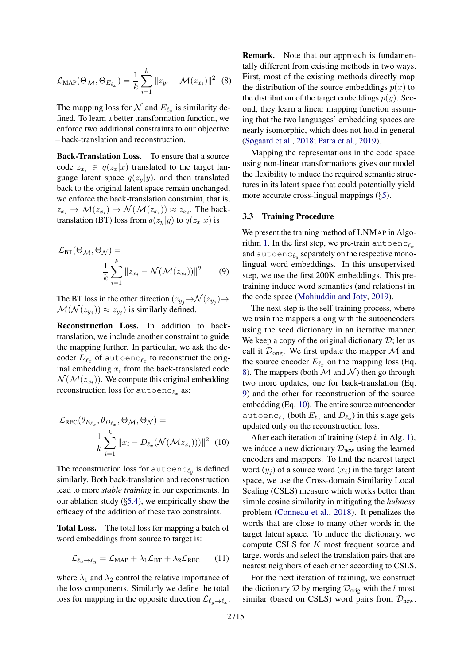<span id="page-3-0"></span>
$$
\mathcal{L}_{\text{MAP}}(\Theta_{\mathcal{M}}, \Theta_{E_{\ell_x}}) = \frac{1}{k} \sum_{i=1}^k \|z_{y_i} - \mathcal{M}(z_{x_i})\|^2 \tag{8}
$$

The mapping loss for  $\mathcal N$  and  $E_{\ell_y}$  is similarity defined. To learn a better transformation function, we enforce two additional constraints to our objective – back-translation and reconstruction.

Back-Translation Loss. To ensure that a source code  $z_{x_i} \in q(z_x|x)$  translated to the target language latent space  $q(z_y|y)$ , and then translated back to the original latent space remain unchanged, we enforce the back-translation constraint, that is,  $z_{x_i} \to \mathcal{M}(z_{x_i}) \to \mathcal{N}(\mathcal{M}(z_{x_i})) \approx z_{x_i}$ . The backtranslation (BT) loss from  $q(z_y|y)$  to  $q(z_x|x)$  is

<span id="page-3-1"></span>
$$
\mathcal{L}_{\text{BT}}(\Theta_{\mathcal{M}}, \Theta_{\mathcal{N}}) = \frac{1}{k} \sum_{i=1}^{k} ||z_{x_i} - \mathcal{N}(\mathcal{M}(z_{x_i}))||^2 \qquad (9)
$$

The BT loss in the other direction  $(z_{y_j} \rightarrow \mathcal{N}(z_{y_j}) \rightarrow$  $\mathcal{M}(\mathcal{N}(z_{y_j})) \approx z_{y_j})$  is similarly defined.

Reconstruction Loss. In addition to backtranslation, we include another constraint to guide the mapping further. In particular, we ask the decoder  $D_{\ell_x}$  of autoenc $_{\ell_x}$  to reconstruct the original embedding  $x_i$  from the back-translated code  $\mathcal{N}(\mathcal{M}(z_{x_i}))$ . We compute this original embedding reconstruction loss for autoenc $\ell_x$  as:

<span id="page-3-2"></span>
$$
\mathcal{L}_{\text{REC}}(\theta_{E_{\ell_x}}, \theta_{D_{\ell_x}}, \Theta_{\mathcal{M}}, \Theta_{\mathcal{N}}) =
$$

$$
\frac{1}{k} \sum_{i=1}^k ||x_i - D_{\ell_x}(\mathcal{N}(\mathcal{M}z_{x_i})))||^2 \quad (10)
$$

The reconstruction loss for  $\texttt{autoenc}_{\ell_y}$  is defined similarly. Both back-translation and reconstruction lead to more *stable training* in our experiments. In our ablation study (§[5.4\)](#page-7-0), we empirically show the efficacy of the addition of these two constraints.

Total Loss. The total loss for mapping a batch of word embeddings from source to target is:

$$
\mathcal{L}_{\ell_x \to \ell_y} = \mathcal{L}_{\text{MAP}} + \lambda_1 \mathcal{L}_{\text{BT}} + \lambda_2 \mathcal{L}_{\text{REC}} \qquad (11)
$$

where  $\lambda_1$  and  $\lambda_2$  control the relative importance of the loss components. Similarly we define the total loss for mapping in the opposite direction  $\mathcal{L}_{\ell_y \to \ell_x}$ .

Remark. Note that our approach is fundamentally different from existing methods in two ways. First, most of the existing methods directly map the distribution of the source embeddings  $p(x)$  to the distribution of the target embeddings  $p(y)$ . Second, they learn a linear mapping function assuming that the two languages' embedding spaces are nearly isomorphic, which does not hold in general [\(Søgaard et al.,](#page-10-7) [2018;](#page-10-7) [Patra et al.,](#page-10-8) [2019\)](#page-10-8).

Mapping the representations in the code space using non-linear transformations gives our model the flexibility to induce the required semantic structures in its latent space that could potentially yield more accurate cross-lingual mappings (§[5\)](#page-5-0).

#### 3.3 Training Procedure

We present the training method of LNMAP in Algo-rithm [1.](#page-4-0) In the first step, we pre-train autoenc $\ell_x$ and  $\text{autoenc}_{\ell_y}$  separately on the respective monolingual word embeddings. In this unsupervised step, we use the first 200K embeddings. This pretraining induce word semantics (and relations) in the code space [\(Mohiuddin and Joty,](#page-9-12) [2019\)](#page-9-12).

The next step is the self-training process, where we train the mappers along with the autoencoders using the seed dictionary in an iterative manner. We keep a copy of the original dictionary  $\mathcal{D}$ ; let us call it  $\mathcal{D}_{\text{orig}}$ . We first update the mapper  $\mathcal M$  and the source encoder  $E_{\ell_x}$  on the mapping loss (Eq. [8\)](#page-3-0). The mappers (both  $\mathcal M$  and  $\mathcal N$ ) then go through two more updates, one for back-translation (Eq. [9\)](#page-3-1) and the other for reconstruction of the source embedding (Eq. [10\)](#page-3-2). The entire source autoencoder autoenc<sub> $\ell_x$ </sub> (both  $E_{\ell_x}$  and  $D_{\ell_x}$ ) in this stage gets updated only on the reconstruction loss.

After each iteration of training (step *i.* in Alg. [1\)](#page-4-0), we induce a new dictionary  $\mathcal{D}_{\text{new}}$  using the learned encoders and mappers. To find the nearest target word  $(y_i)$  of a source word  $(x_i)$  in the target latent space, we use the Cross-domain Similarity Local Scaling (CSLS) measure which works better than simple cosine similarity in mitigating the *hubness* problem [\(Conneau et al.,](#page-9-8) [2018\)](#page-9-8). It penalizes the words that are close to many other words in the target latent space. To induce the dictionary, we compute CSLS for K most frequent source and target words and select the translation pairs that are nearest neighbors of each other according to CSLS.

For the next iteration of training, we construct the dictionary D by merging  $\mathcal{D}_{\text{orig}}$  with the l most similar (based on CSLS) word pairs from  $\mathcal{D}_{\text{new}}$ .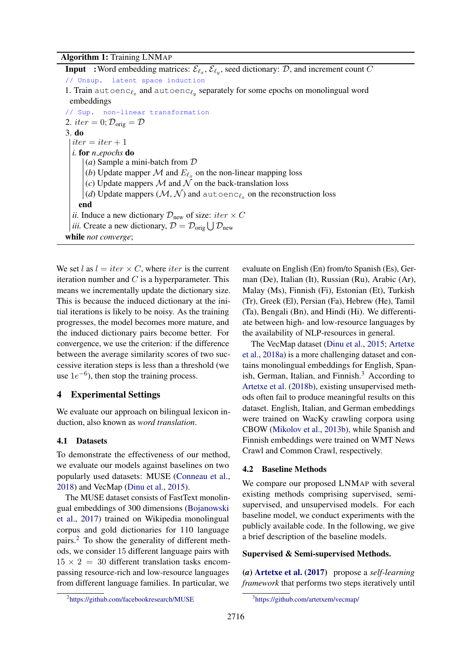# Algorithm 1: Training LNMAP

**Input** : Word embedding matrices:  $\mathcal{E}_{\ell_x}, \mathcal{E}_{\ell_y}$ , seed dictionary: D, and increment count C // Unsup. latent space induction 1. Train autoenc $_{\ell_x}$  and autoenc $_{\ell_y}$  separately for some epochs on monolingual word embeddings // Sup. non-linear transformation 2. iter = 0;  $\mathcal{D}_{\text{orig}} = \mathcal{D}$ 3. do  $iter = iter + 1$ *i.* for *n epochs* do (*a*) Sample a mini-batch from D (*b*) Update mapper  $\mathcal M$  and  $E_{\ell_x}$  on the non-linear mapping loss (*c*) Update mappers  $M$  and  $N$  on the back-translation loss *(d)* Update mappers  $(\mathcal{M}, \mathcal{N})$  and autoenc $_{\ell_x}$  on the reconstruction loss end *ii.* Induce a new dictionary  $\mathcal{D}_{\text{new}}$  of size: *iter*  $\times C$ *iii.* Create a new dictionary,  $\mathcal{D} = \mathcal{D}_{\text{orig}} \bigcup \mathcal{D}_{\text{new}}$ while *not converge*;

<span id="page-4-0"></span>We set l as  $l = iter \times C$ , where *iter* is the current iteration number and  $C$  is a hyperparameter. This means we incrementally update the dictionary size. This is because the induced dictionary at the initial iterations is likely to be noisy. As the training progresses, the model becomes more mature, and the induced dictionary pairs become better. For convergence, we use the criterion: if the difference between the average similarity scores of two successive iteration steps is less than a threshold (we use  $1e^{-6}$ ), then stop the training process.

# 4 Experimental Settings

We evaluate our approach on bilingual lexicon induction, also known as *word translation*.

### 4.1 Datasets

To demonstrate the effectiveness of our method, we evaluate our models against baselines on two popularly used datasets: MUSE [\(Conneau et al.,](#page-9-8) [2018\)](#page-9-8) and VecMap [\(Dinu et al.,](#page-9-17) [2015\)](#page-9-17).

The MUSE dataset consists of FastText monolingual embeddings of 300 dimensions [\(Bojanowski](#page-9-16) [et al.,](#page-9-16) [2017\)](#page-9-16) trained on Wikipedia monolingual corpus and gold dictionaries for 110 language pairs.[2](#page-4-1) To show the generality of different methods, we consider 15 different language pairs with  $15 \times 2 = 30$  different translation tasks encompassing resource-rich and low-resource languages from different language families. In particular, we evaluate on English (En) from/to Spanish (Es), German (De), Italian (It), Russian (Ru), Arabic (Ar), Malay (Ms), Finnish (Fi), Estonian (Et), Turkish (Tr), Greek (El), Persian (Fa), Hebrew (He), Tamil (Ta), Bengali (Bn), and Hindi (Hi). We differentiate between high- and low-resource languages by the availability of NLP-resources in general.

The VecMap dataset [\(Dinu et al.,](#page-9-17) [2015;](#page-9-17) [Artetxe](#page-9-6) [et al.,](#page-9-6) [2018a\)](#page-9-6) is a more challenging dataset and contains monolingual embeddings for English, Span-ish, German, Italian, and Finnish.<sup>[3](#page-4-2)</sup> According to [Artetxe et al.](#page-9-9) [\(2018b\)](#page-9-9), existing unsupervised methods often fail to produce meaningful results on this dataset. English, Italian, and German embeddings were trained on WacKy crawling corpora using CBOW [\(Mikolov et al.,](#page-9-18) [2013b\)](#page-9-18), while Spanish and Finnish embeddings were trained on WMT News Crawl and Common Crawl, respectively.

### 4.2 Baseline Methods

We compare our proposed LNMAP with several existing methods comprising supervised, semisupervised, and unsupervised models. For each baseline model, we conduct experiments with the publicly available code. In the following, we give a brief description of the baseline models.

#### Supervised & Semi-supervised Methods.

(*a*) [Artetxe et al.](#page-9-5) [\(2017\)](#page-9-5) propose a *self-learning framework* that performs two steps iteratively until

<span id="page-4-1"></span><sup>2</sup> <https://github.com/facebookresearch/MUSE>

<span id="page-4-2"></span><sup>3</sup> <https://github.com/artetxem/vecmap/>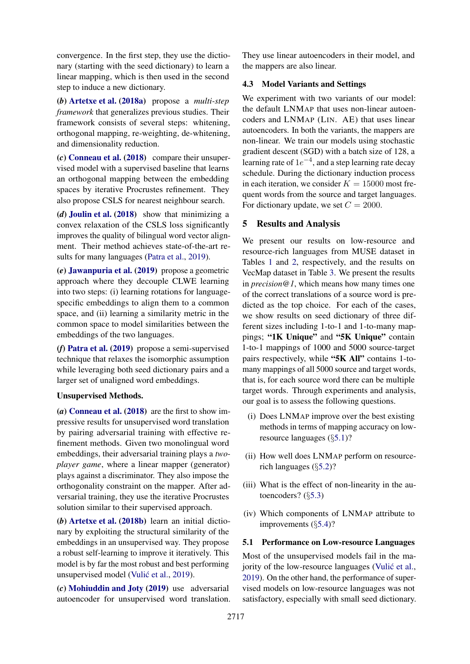convergence. In the first step, they use the dictionary (starting with the seed dictionary) to learn a linear mapping, which is then used in the second step to induce a new dictionary.

(*b*) [Artetxe et al.](#page-9-6) [\(2018a\)](#page-9-6) propose a *multi-step framework* that generalizes previous studies. Their framework consists of several steps: whitening, orthogonal mapping, re-weighting, de-whitening, and dimensionality reduction.

(*c*) [Conneau et al.](#page-9-8) [\(2018\)](#page-9-8) compare their unsupervised model with a supervised baseline that learns an orthogonal mapping between the embedding spaces by iterative Procrustes refinement. They also propose CSLS for nearest neighbour search.

(*d*) [Joulin et al.](#page-9-15) [\(2018\)](#page-9-15) show that minimizing a convex relaxation of the CSLS loss significantly improves the quality of bilingual word vector alignment. Their method achieves state-of-the-art results for many languages [\(Patra et al.,](#page-10-8) [2019\)](#page-10-8).

(*e*) [Jawanpuria et al.](#page-9-19) [\(2019\)](#page-9-19) propose a geometric approach where they decouple CLWE learning into two steps: (i) learning rotations for languagespecific embeddings to align them to a common space, and (ii) learning a similarity metric in the common space to model similarities between the embeddings of the two languages.

(*f*) [Patra et al.](#page-10-8) [\(2019\)](#page-10-8) propose a semi-supervised technique that relaxes the isomorphic assumption while leveraging both seed dictionary pairs and a larger set of unaligned word embeddings.

### Unsupervised Methods.

(*a*) [Conneau et al.](#page-9-8) [\(2018\)](#page-9-8) are the first to show impressive results for unsupervised word translation by pairing adversarial training with effective refinement methods. Given two monolingual word embeddings, their adversarial training plays a *twoplayer game*, where a linear mapper (generator) plays against a discriminator. They also impose the orthogonality constraint on the mapper. After adversarial training, they use the iterative Procrustes solution similar to their supervised approach.

(*b*) [Artetxe et al.](#page-9-9) [\(2018b\)](#page-9-9) learn an initial dictionary by exploiting the structural similarity of the embeddings in an unsupervised way. They propose a robust self-learning to improve it iteratively. This model is by far the most robust and best performing unsupervised model (Vulić et al., [2019\)](#page-10-5).

(*c*) [Mohiuddin and Joty](#page-9-12) [\(2019\)](#page-9-12) use adversarial autoencoder for unsupervised word translation. They use linear autoencoders in their model, and the mappers are also linear.

### 4.3 Model Variants and Settings

We experiment with two variants of our model: the default LNMAP that uses non-linear autoencoders and LNMAP (LIN. AE) that uses linear autoencoders. In both the variants, the mappers are non-linear. We train our models using stochastic gradient descent (SGD) with a batch size of 128, a learning rate of  $1e^{-4}$ , and a step learning rate decay schedule. During the dictionary induction process in each iteration, we consider  $K = 15000$  most frequent words from the source and target languages. For dictionary update, we set  $C = 2000$ .

### <span id="page-5-0"></span>5 Results and Analysis

We present our results on low-resource and resource-rich languages from MUSE dataset in Tables [1](#page-6-0) and [2,](#page-7-1) respectively, and the results on VecMap dataset in Table [3.](#page-8-0) We present the results in *precision@1*, which means how many times one of the correct translations of a source word is predicted as the top choice. For each of the cases, we show results on seed dictionary of three different sizes including 1-to-1 and 1-to-many mappings; "1K Unique" and "5K Unique" contain 1-to-1 mappings of 1000 and 5000 source-target pairs respectively, while "5K All" contains 1-tomany mappings of all 5000 source and target words, that is, for each source word there can be multiple target words. Through experiments and analysis, our goal is to assess the following questions.

- (i) Does LNMAP improve over the best existing methods in terms of mapping accuracy on lowresource languages (§[5.1\)](#page-5-1)?
- (ii) How well does LNMAP perform on resourcerich languages (§[5.2\)](#page-6-1)?
- (iii) What is the effect of non-linearity in the autoencoders? (§[5.3\)](#page-7-2)
- (iv) Which components of LNMAP attribute to improvements (§[5.4\)](#page-7-0)?

# <span id="page-5-1"></span>5.1 Performance on Low-resource Languages Most of the unsupervised models fail in the majority of the low-resource languages (Vulić et al., [2019\)](#page-10-5). On the other hand, the performance of supervised models on low-resource languages was not satisfactory, especially with small seed dictionary.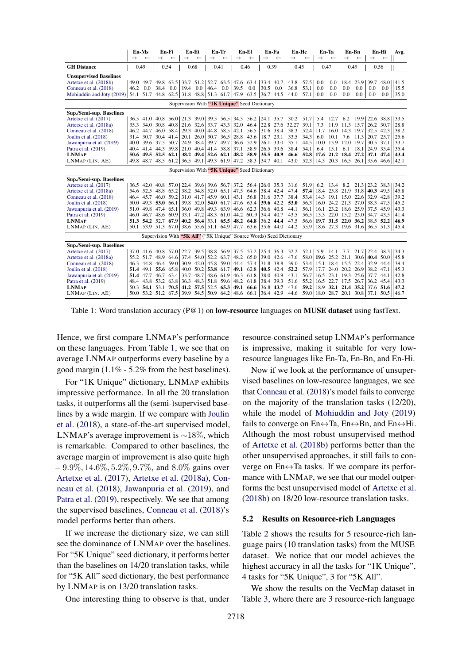<span id="page-6-0"></span>

|                                                                      |               | En-Ms        | En-Fi                                                                                  |              | En-Et          |              |               | En-Tr                       |                                                             | En-El        | En-Fa         |              | En-He         |              | En-Ta         |                                 | En-Bn               |                        | En-Hi          |                                                  | Avg.             |
|----------------------------------------------------------------------|---------------|--------------|----------------------------------------------------------------------------------------|--------------|----------------|--------------|---------------|-----------------------------|-------------------------------------------------------------|--------------|---------------|--------------|---------------|--------------|---------------|---------------------------------|---------------------|------------------------|----------------|--------------------------------------------------|------------------|
|                                                                      | $\rightarrow$ | $\leftarrow$ | $\rightarrow$                                                                          | $\leftarrow$ | $\rightarrow$  | $\leftarrow$ | $\rightarrow$ | $\leftarrow$                | $\rightarrow$                                               | $\leftarrow$ | $\rightarrow$ | $\leftarrow$ | $\rightarrow$ | $\leftarrow$ | $\rightarrow$ | $\leftarrow$                    | $\rightarrow$       | $\leftarrow$           | $\rightarrow$  | $\leftarrow$                                     |                  |
| <b>GH</b> Distance                                                   | 0.49          |              | 0.54                                                                                   |              | 0.68           |              | 0.41          |                             | 0.46                                                        |              | 0.39          |              | 0.45          |              | 0.47          |                                 | 0.49                |                        | 0.56           |                                                  |                  |
| <b>Unsupervised Baselines</b>                                        |               |              |                                                                                        |              |                |              |               |                             |                                                             |              |               |              |               |              |               |                                 |                     |                        |                |                                                  |                  |
| Artetxe et al. (2018b)                                               |               | 49.0 49.7    |                                                                                        |              |                |              |               |                             | 49.8 63.5 33.7 51.2 52.7 63.5 47.6 63.4                     |              | 33.4 40.7     |              | 43.8          | 57.5         | 0.0           | 0.0                             |                     | 18.4 23.9 39.7         |                | 48.0                                             | 41.5             |
| Conneau et al. (2018)                                                | 46.2          | 0.0          | 38.4                                                                                   | 0.0          | 19.4           | 0.0          | 46.4          | 0.0                         | 39.5                                                        | 0.0          | 30.5          | 0.0          | 36.8          | 53.1         | 0.0           | 0.0                             | 0.0                 | 0.0                    | 0.0            | 0.0                                              | 15.5             |
| Mohiuddin and Joty (2019)                                            |               |              |                                                                                        |              |                |              |               |                             | 54.1 51.7 44.8 62.5 31.8 48.8 51.3 61.7 47.9 63.5 36.7 44.5 |              |               |              | 44.0          | 57.1         | 0.0           | 0.0                             | 0.0                 | 0.0                    | 0.0            | 0.0                                              | $\parallel$ 35.0 |
| Supervision With "1K Unique" Seed Dictionary                         |               |              |                                                                                        |              |                |              |               |                             |                                                             |              |               |              |               |              |               |                                 |                     |                        |                |                                                  |                  |
| Sup./Semi-sup. Baselines                                             |               |              |                                                                                        |              |                |              |               |                             |                                                             |              |               |              |               |              |               |                                 |                     |                        |                |                                                  |                  |
| Artetxe et al. (2017)                                                |               |              |                                                                                        |              |                |              |               |                             | 36.5 41.0 40.8 56.0 21.3 39.0 39.5 56.5 34.5 56.2           |              | 24.1 35.7     |              | 30.2          | 51.7         | 5.4           | 12.7                            | 6.2                 | 19.9                   | $122.6$ 38.8   |                                                  | 33.5             |
| Artetxe et al. (2018a)                                               |               |              | 35.3 34.0 30.8 40.8 21.6 32.6                                                          |              |                |              |               |                             | $33.7$ 43.3 32.0                                            | 46.4         | 22.8 27.6     |              | 32.27         | 39.1         | 7.3           | 11.9                            | 11.3                | 15.7                   | $ 26.2 \t30.7$ |                                                  | 28.8             |
| Conneau et al. (2018)                                                |               |              | 46.2 44.7 46.0 58.4 29.3 40.0                                                          |              |                |              |               |                             | 44.8 58.5 42.1                                              | 56.5         | 31.6 38.4     |              | 38.3          | 52.4         |               | $11.7 \t16.0$                   | 14.3 19.7           |                        | $ 32.5 \t42.3$ |                                                  | 38.2             |
| Joulin et al. (2018)                                                 | 31.4 30.7     |              | $30.4$ 41.4 20.1                                                                       |              |                | 26.0         |               | $30.7 \quad 36.5 \mid 28.8$ |                                                             | 43.6         | 18.7 23.1     |              | 33.5          | 34.3         | 6.0           | 10.1                            | 7.6                 | 11.3                   | $ 20.7\rangle$ | 25.7                                             | 25.6             |
| Jawanpuria et al. (2019)                                             |               |              | 40.0 39.6 37.5 50.7                                                                    |              |                | 24.9 38.4    |               |                             | 39.7 49.7 36.6 52.9                                         |              | 26.1 33.0     |              | 35.1          | 44.5         |               | $10.0$ 15.9                     | 12.0 19.7           |                        | $ 30.5 \t37.1$ |                                                  | 33.7             |
| Patra et al. (2019)                                                  | 40.4          | 41.4         | 44.3 59.8 21.0 40.4                                                                    |              |                |              |               |                             | 41.4 58.8 37.1                                              | 58.9         | 26.5 39.6     |              | 38.4          | 54.1         | 6.4           | 15.1                            | 6.1                 | 18.1                   | 24.9 35.4      |                                                  | 35.4             |
| <b>LNMAP</b>                                                         |               |              | 50.6 49.5 52.5 62.1 38.2 49.4                                                          |              |                |              |               |                             | $ 52.6 \t62.1 48.2 \t58.9$                                  |              | 35.5 40.9     |              | 46.6          | 52.8         |               | $17.6$ 21.2 18.4 27.2 37.1 47.4 |                     |                        |                |                                                  | 43.4             |
| LNMAP (LIN. AE)                                                      |               |              |                                                                                        |              |                |              |               |                             | 49.8 48.7 48.5 61.2 36.5 49.1 49.3 61.9 47.2 58.3 34.7 40.1 |              |               |              | 43.0          | 52.3         |               |                                 |                     |                        |                | 14.5 20.3 16.5 26.1 35.6 46.6 42.1               |                  |
|                                                                      |               |              |                                                                                        |              |                |              |               |                             | Supervision With "5K Unique" Seed Dictionary                |              |               |              |               |              |               |                                 |                     |                        |                |                                                  |                  |
| Sup./Semi-sup. Baselines                                             |               |              |                                                                                        |              |                |              |               |                             |                                                             |              |               |              |               |              |               |                                 |                     |                        |                |                                                  |                  |
| Artetxe et al. (2017)                                                |               |              |                                                                                        |              |                |              |               |                             | 36.5 42.0 40.8 57.0 22.4 39.6 39.6 56.7 37.2                | 56.4         | 26.0 35.3     |              | 31.6          | 51.9         | 6.2           | 13.4                            | 8.2                 |                        | 21.3 23.2 38.3 |                                                  | 34.2             |
| Artetxe et al. (2018a)                                               |               |              | 54.6 52.5 48.8 65.2 38.2 54.8                                                          |              |                |              |               |                             | $52.0$ 65.1 47.5 64.6                                       |              | 38.4 42.4     |              | 47.4          | 57.4         |               | 18.4 25.8 21.9 31.8 40.3 49.5   |                     |                        |                |                                                  | 45.8             |
| Conneau et al. (2018)                                                |               |              | 46.4 45.7 46.0 59.2 31.0 41.7                                                          |              |                |              | 45.9 60.1     |                             | 43.1                                                        | 56.8         | 31.6 37.7     |              | 38.4          | 53.4         |               | 14.3 19.1 15.0 22.6 32.9 42.8   |                     |                        |                |                                                  | 39.2             |
| Joulin et al. (2018)                                                 |               |              | 50.0 49.3 53.0 66.1 39.8 52.0                                                          |              |                |              |               |                             | 54.0 61.7 47.6 63.4                                         |              | 39.6 42.2     |              | 53.0          | 56.3         |               | 16.0 24.2 21.3 27.0 38.3 47.5   |                     |                        |                |                                                  | 45.2             |
| Jawanpuria et al. (2019)                                             | 51.0          | 49.8         | $ 47.4 \t65.1 36.0 \t49.8$                                                             |              |                |              | 49.3 63.9     |                             | 46.6 62.3                                                   |              | 36.6 40.8     |              | 44.1          | 56.1         |               | 16.1 23.2 18.6 25.9             |                     |                        | 137.5          | 45.9                                             | 43.3             |
| Patra et al. (2019)                                                  |               | 46.0 46.7    |                                                                                        | 48.6 60.9    | 33.1 47.2      |              | 48.3 61.0     |                             | 44.2 60.9                                                   |              | 34.4 40.7     |              | 43.5          | 56.5         |               | $15.3$ 22.0                     | 15.2 25.0           |                        | $ 34.7 \t43.5$ |                                                  | 41.4             |
| <b>LNMAP</b>                                                         |               |              | 51.3 54.2 52.7 67.9 40.2 56.4                                                          |              |                |              |               |                             | $ 53.1 \t65.5 48.2 \t64.8$                                  |              | 36.2 44.4     |              | 47.5          | 56.6         |               | 19.7 31.5 22.0 36.2 38.5 52.2   |                     |                        |                |                                                  | 46.9             |
| LNMAP (LIN. AE)                                                      |               |              |                                                                                        |              |                |              |               |                             | 50.1 53.9 51.3 67.0 38.6 55.6 51.1 64.9 47.7 63.6 35.6 44.0 |              |               |              | 44.2          |              |               |                                 |                     |                        |                | 55.9   18.6 27.3   19.6 31.6   36.5 51.3    45.4 |                  |
| Supervision With "5K All" ("5K Unique" Source Words) Seed Dictionary |               |              |                                                                                        |              |                |              |               |                             |                                                             |              |               |              |               |              |               |                                 |                     |                        |                |                                                  |                  |
| Sup./Semi-sup. Baselines                                             |               |              |                                                                                        |              |                |              |               |                             |                                                             |              |               |              |               |              |               |                                 |                     |                        |                |                                                  |                  |
| Artetxe et al. (2017)                                                |               |              |                                                                                        |              |                |              |               |                             | 37.0 41.6 40.8 57.0 22.7 39.5 38.8 56.9 37.5 57.2           |              | 25.4 36.3     |              | 32.2          | 52.1         | 5.9           | 14.1                            | 7.7                 | 21.7                   | $122.4$ 38.3   |                                                  | 34.3             |
| Artetxe et al. (2018a)                                               | 55.2          | 51.7         | 48.9                                                                                   |              | 64.6 37.4 54.0 |              |               |                             | 52.2 63.7 48.2 65.0                                         |              | 39.0 42.6     |              | 47.6          | 58.0         |               | 19.6 $25.2$ 21.1                |                     | $30.6 \,   \, 40.4 \,$ |                | 50.0                                             | 45.8             |
| Conneau et al. (2018)                                                | 46.3 44.8     |              |                                                                                        | 46.4 59.0    | 30.9 42.0      |              | 45.8 59.0     |                             | 44.4                                                        | 57.4         | 31.8 38.8     |              | 39.0          | 53.4         |               | $15.1$ $18.4$                   | 15.5 22.4 32.9 44.4 |                        |                |                                                  | 39.4             |
| Joulin et al. (2018)                                                 | 51.4 49.1     |              | 55.6 65.8                                                                              |              |                | 40.0 50.2    | 53.8 61.7     |                             | 49.1 62.8                                                   |              | 40.5 42.4     |              | 52.2          | 57.9         | 17.7 24.0     |                                 | 20.2 26.9           |                        | 38.2 47.1      |                                                  | 45.3             |
| Jawanpuria et al. (2019)                                             | 51.4 47.7     |              | 46.7                                                                                   | 63.4         | 33.7 48.7      |              | 48.6 61.9     |                             | 46.3                                                        | 61.8         | 38.0 40.9     |              | 43.1          | 56.7         |               | $16.5$ 23.1                     | 19.3 25.6           |                        | 37.7           | 44.1                                             | 42.8             |
| Patra et al. (2019)                                                  | 48.4          |              | 43.8 53.2 63.8 36.3 48.3                                                               |              |                |              |               |                             | $51.8$ 59.6 48.2 61.8                                       |              | 38.4 39.3     |              | 51.6          | 55.2         |               | $16.5$ 22.7                     | 17.5 26.7           |                        | 36.2 45.4      |                                                  | 43.3             |
| <b>LNMAP</b>                                                         |               | 50.3 54.1    | $\begin{array}{ c c c c c c c c } \hline 53.1 & 70.5 & 41.2 & 57.5 \hline \end{array}$ |              |                |              |               |                             | $52.5$ 65.3 49.1 66.6                                       |              | 36.8 43.7     |              | 47.6          | 59.2         |               | 18.9 32.1 21.4 35.2             |                     |                        | $137.6$ 51.6   |                                                  | 47.2             |
| LNMAP (LIN. AE)                                                      |               |              |                                                                                        |              |                |              |               |                             | 50.0 53.2 51.2 67.5 39.9 54.5 50.9 64.2 48.6 66.1 36.4 42.9 |              |               |              |               |              |               |                                 |                     |                        |                | 44.6 59.0 18.0 28.7 20.1 30.8 37.1 50.5 46.7     |                  |

Table 1: Word translation accuracy (P@1) on **low-resource** languages on **MUSE dataset** using fastText.

Hence, we first compare LNMAP's performance on these languages. From Table [1,](#page-6-0) we see that on average LNMAP outperforms every baseline by a good margin (1.1% - 5.2% from the best baselines).

For "1K Unique" dictionary, LNMAP exhibits impressive performance. In all the 20 translation tasks, it outperforms all the (semi-)supervised baselines by a wide margin. If we compare with [Joulin](#page-9-15) [et al.](#page-9-15) [\(2018\)](#page-9-15), a state-of-the-art supervised model, LNMAP's average improvement is ∼18%, which is remarkable. Compared to other baselines, the average margin of improvement is also quite high  $-9.9\%, 14.6\%, 5.2\%, 9.7\%, \text{ and } 8.0\% \text{ gains over }$ [Artetxe et al.](#page-9-5) [\(2017\)](#page-9-5), [Artetxe et al.](#page-9-6) [\(2018a\)](#page-9-6), [Con](#page-9-8)[neau et al.](#page-9-8) [\(2018\)](#page-9-8), [Jawanpuria et al.](#page-9-19) [\(2019\)](#page-9-19), and [Patra et al.](#page-10-8) [\(2019\)](#page-10-8), respectively. We see that among the supervised baselines, [Conneau et al.](#page-9-8) [\(2018\)](#page-9-8)'s model performs better than others.

If we increase the dictionary size, we can still see the dominance of LNMAP over the baselines. For "5K Unique" seed dictionary, it performs better than the baselines on 14/20 translation tasks, while for "5K All" seed dictionary, the best performance by LNMAP is on 13/20 translation tasks.

One interesting thing to observe is that, under

resource-constrained setup LNMAP's performance is impressive, making it suitable for very lowresource languages like En-Ta, En-Bn, and En-Hi.

Now if we look at the performance of unsupervised baselines on low-resource languages, we see that [Conneau et al.](#page-9-8) [\(2018\)](#page-9-8)'s model fails to converge on the majority of the translation tasks (12/20), while the model of [Mohiuddin and Joty](#page-9-12) [\(2019\)](#page-9-12) fails to converge on  $En \leftrightarrow Ta$ ,  $En \leftrightarrow Bn$ , and  $En \leftrightarrow Hi$ . Although the most robust unsupervised method of [Artetxe et al.](#page-9-9) [\(2018b\)](#page-9-9) performs better than the other unsupervised approaches, it still fails to converge on  $En \leftrightarrow Ta$  tasks. If we compare its performance with LNMAP, we see that our model outperforms the best unsupervised model of [Artetxe et al.](#page-9-9) [\(2018b\)](#page-9-9) on 18/20 low-resource translation tasks.

#### <span id="page-6-1"></span>5.2 Results on Resource-rich Languages

Table [2](#page-7-1) shows the results for 5 resource-rich language pairs (10 translation tasks) from the MUSE dataset. We notice that our model achieves the highest accuracy in all the tasks for "1K Unique", 4 tasks for "5K Unique", 3 for "5K All".

We show the results on the VecMap dataset in Table [3,](#page-8-0) where there are 3 resource-rich language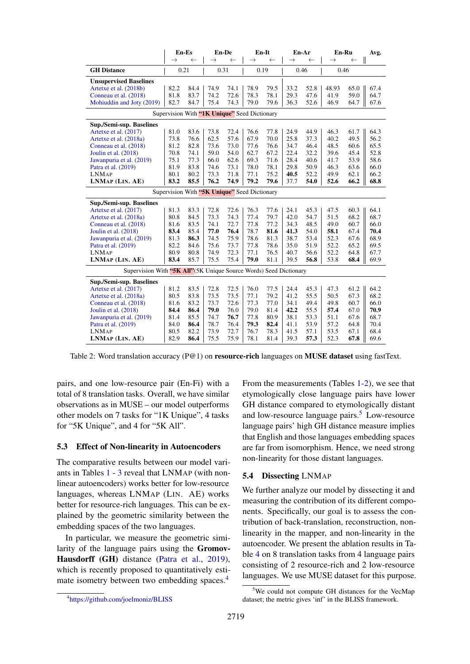<span id="page-7-1"></span>

|                                                                    | En-Es         |              | En-De         |              | En-It                                        |              | En-Ar         |              | En-Ru         |              | Avg. |
|--------------------------------------------------------------------|---------------|--------------|---------------|--------------|----------------------------------------------|--------------|---------------|--------------|---------------|--------------|------|
|                                                                    | $\rightarrow$ | $\leftarrow$ | $\rightarrow$ | $\leftarrow$ | $\rightarrow$                                | $\leftarrow$ | $\rightarrow$ | $\leftarrow$ | $\rightarrow$ | $\leftarrow$ |      |
| <b>GH</b> Distance                                                 | 0.21          |              | 0.31          |              | 0.19                                         |              | 0.46          |              | 0.46          |              |      |
| <b>Unsupervised Baselines</b>                                      |               |              |               |              |                                              |              |               |              |               |              |      |
| Artetxe et al. (2018b)                                             | 82.2          | 84.4         | 74.9          | 74.1         | 78.9                                         | 79.5         | 33.2          | 52.8         | 48.93         | 65.0         | 67.4 |
| Conneau et al. (2018)                                              | 81.8          | 83.7         | 74.2          | 72.6         | 78.3                                         | 78.1         | 29.3          | 47.6         | 41.9          | 59.0         | 64.7 |
| Mohiuddin and Joty (2019)                                          | 82.7          | 84.7         | 75.4          | 74.3         | 79.0                                         | 79.6         | 36.3          | 52.6         | 46.9          | 64.7         | 67.6 |
| Supervision With "1K Unique" Seed Dictionary                       |               |              |               |              |                                              |              |               |              |               |              |      |
| <b>Sup./Semi-sup. Baselines</b>                                    |               |              |               |              |                                              |              |               |              |               |              |      |
| Artetxe et al. (2017)                                              | 81.0          | 83.6         | 73.8          | 72.4         | 76.6                                         | 77.8         | 24.9          | 44.9         | 46.3          | 61.7         | 64.3 |
| Artetxe et al. (2018a)                                             | 73.8          | 76.6         | 62.5          | 57.6         | 67.9                                         | 70.0         | 25.8          | 37.3         | 40.2          | 49.5         | 56.2 |
| Conneau et al. (2018)                                              | 81.2          | 82.8         | 73.6          | 73.0         | 77.6                                         | 76.6         | 34.7          | 46.4         | 48.5          | 60.6         | 65.5 |
| Joulin et al. (2018)                                               | 70.8          | 74.1         | 59.0          | 54.0         | 62.7                                         | 67.2         | 22.4          | 32.2         | 39.6          | 45.4         | 52.8 |
| Jawanpuria et al. (2019)                                           | 75.1          | 77.3         | 66.0          | 62.6         | 69.3                                         | 71.6         | 28.4          | 40.6         | 41.7          | 53.9         | 58.6 |
| Patra et al. (2019)                                                | 81.9          | 83.8         | 74.6          | 73.1         | 78.0                                         | 78.1         | 29.8          | 50.9         | 46.3          | 63.6         | 66.0 |
| <b>LNMAP</b>                                                       | 80.1          | 80.2         | 73.3          | 71.8         | 77.1                                         | 75.2         | 40.5          | 52.2         | 49.9          | 62.1         | 66.2 |
| LNMAP (LIN. AE)                                                    | 83.2          | 85.5         | 76.2          | 74.9         | 79.2                                         | 79.6         | 37.7          | 54.0         | 52.6          | 66.2         | 68.8 |
|                                                                    |               |              |               |              | Supervision With "5K Unique" Seed Dictionary |              |               |              |               |              |      |
| Sup./Semi-sup. Baselines                                           |               |              |               |              |                                              |              |               |              |               |              |      |
| Artetxe et al. (2017)                                              | 81.3          | 83.3         | 72.8          | 72.6         | 76.3                                         | 77.6         | 24.1          | 45.3         | 47.5          | 60.3         | 64.1 |
| Artetxe et al. (2018a)                                             | 80.8          | 84.5         | 73.3          | 74.3         | 77.4                                         | 79.7         | 42.0          | 54.7         | 51.5          | 68.2         | 68.7 |
| Conneau et al. (2018)                                              | 81.6          | 83.5         | 74.1          | 72.7         | 77.8                                         | 77.2         | 34.3          | 48.5         | 49.0          | 60.7         | 66.0 |
| Joulin et al. (2018)                                               | 83.4          | 85.4         | 77.0          | 76.4         | 78.7                                         | 81.6         | 41.3          | 54.0         | 58.1          | 67.4         | 70.4 |
| Jawanpuria et al. (2019)                                           | 81.3          | 86.3         | 74.5          | 75.9         | 78.6                                         | 81.3         | 38.7          | 53.4         | 52.3          | 67.6         | 68.9 |
| Patra et al. (2019)                                                | 82.2          | 84.6         | 75.6          | 73.7         | 77.8                                         | 78.6         | 35.0          | 51.9         | 52.2          | 65.2         | 69.5 |
| <b>LNMAP</b>                                                       | 80.9          | 80.8         | 74.9          | 72.3         | 77.1                                         | 76.5         | 40.7          | 56.6         | 52.2          | 64.8         | 67.7 |
| LNMAP (LIN. AE)                                                    | 83.4          | 85.7         | 75.5          | 75.4         | 79.0                                         | 81.1         | 39.5          | 56.8         | 53.8          | 68.4         | 69.9 |
| Supervision With "5K All" (5K Unique Source Words) Seed Dictionary |               |              |               |              |                                              |              |               |              |               |              |      |
| Sup./Semi-sup. Baselines                                           |               |              |               |              |                                              |              |               |              |               |              |      |
| Artetxe et al. (2017)                                              | 81.2          | 83.5         | 72.8          | 72.5         | 76.0                                         | 77.5         | 24.4          | 45.3         | 47.3          | 61.2         | 64.2 |
| Artetxe et al. (2018a)                                             | 80.5          | 83.8         | 73.5          | 73.5         | 77.1                                         | 79.2         | 41.2          | 55.5         | 50.5          | 67.3         | 68.2 |
| Conneau et al. (2018)                                              | 81.6          | 83.2         | 73.7          | 72.6         | 77.3                                         | 77.0         | 34.1          | 49.4         | 49.8          | 60.7         | 66.0 |
| Joulin et al. (2018)                                               | 84.4          | 86.4         | 79.0          | 76.0         | 79.0                                         | 81.4         | 42.2          | 55.5         | 57.4          | 67.0         | 70.9 |
| Jawanpuria et al. (2019)                                           | 81.4          | 85.5         | 74.7          | 76.7         | 77.8                                         | 80.9         | 38.1          | 53.3         | 51.1          | 67.6         | 68.7 |
| Patra et al. (2019)                                                | 84.0          | 86.4         | 78.7          | 76.4         | 79.3                                         | 82.4         | 41.1          | 53.9         | 57.2          | 64.8         | 70.4 |
| <b>LNMAP</b>                                                       | 80.5          | 82.2         | 73.9          | 72.7         | 76.7                                         | 78.3         | 41.5          | 57.1         | 53.5          | 67.1         | 68.4 |
| LNMAP (LIN. AE)                                                    | 82.9          | 86.4         | 75.5          | 75.9         | 78.1                                         | 81.4         | 39.3          | 57.3         | 52.3          | 67.8         | 69.6 |

Table 2: Word translation accuracy (P@1) on resource-rich languages on MUSE dataset using fastText.

pairs, and one low-resource pair (En-Fi) with a total of 8 translation tasks. Overall, we have similar observations as in MUSE – our model outperforms other models on 7 tasks for "1K Unique", 4 tasks for "5K Unique", and 4 for "5K All".

#### <span id="page-7-2"></span>5.3 Effect of Non-linearity in Autoencoders

The comparative results between our model variants in Tables [1](#page-6-0) - [3](#page-8-0) reveal that LNMAP (with nonlinear autoencoders) works better for low-resource languages, whereas LNMAP (LIN. AE) works better for resource-rich languages. This can be explained by the geometric similarity between the embedding spaces of the two languages.

In particular, we measure the geometric similarity of the language pairs using the Gromov-Hausdorff (GH) distance [\(Patra et al.,](#page-10-8) [2019\)](#page-10-8), which is recently proposed to quantitatively esti-mate isometry between two embedding spaces.<sup>[4](#page-7-3)</sup>

From the measurements (Tables [1](#page-6-0)[-2\)](#page-7-1), we see that etymologically close language pairs have lower GH distance compared to etymologically distant and low-resource language pairs.<sup>[5](#page-7-4)</sup> Low-resource language pairs' high GH distance measure implies that English and those languages embedding spaces are far from isomorphism. Hence, we need strong non-linearity for those distant languages.

### <span id="page-7-0"></span>5.4 Dissecting LNMAP

We further analyze our model by dissecting it and measuring the contribution of its different components. Specifically, our goal is to assess the contribution of back-translation, reconstruction, nonlinearity in the mapper, and non-linearity in the autoencoder. We present the ablation results in Table [4](#page-8-1) on 8 translation tasks from 4 language pairs consisting of 2 resource-rich and 2 low-resource languages. We use MUSE dataset for this purpose.

<span id="page-7-3"></span><sup>4</sup> <https://github.com/joelmoniz/BLISS>

<span id="page-7-4"></span><sup>&</sup>lt;sup>5</sup>We could not compute GH distances for the VecMap dataset; the metric gives 'inf' in the BLISS framework.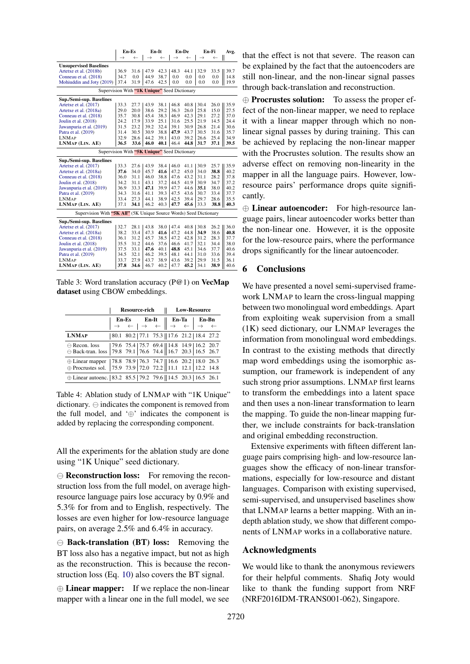<span id="page-8-0"></span>

|                                                                    |               | En-Es        | En-It         |              |               | En-De        | En Fi         |              | Avg. |
|--------------------------------------------------------------------|---------------|--------------|---------------|--------------|---------------|--------------|---------------|--------------|------|
|                                                                    | $\rightarrow$ | $\leftarrow$ | $\rightarrow$ | $\leftarrow$ | $\rightarrow$ | $\leftarrow$ | $\rightarrow$ | $\leftarrow$ | II   |
| <b>Unsupervised Baselines</b>                                      |               |              |               |              |               |              |               |              |      |
| Artetxe et al. (2018b)                                             | 36.9          | 31.6         | 47.9          | 42.3         | 48.3          | 44.1         | 32.9          | 33.5         | 39.7 |
| Conneau et al. (2018)                                              | 34.7          | 0.0          | 44.9          | 38.7         | 0.0           | 0.0          | 0.0           | 0.0          | 14.8 |
| Mohiuddin and Joty (2019)                                          | 37.4          | 31.9         | 47.6          | 42.5         | 0.0           | 0.0          | 0.0           | 0.0          | 19.9 |
| Supervision With "1K Unique" Seed Dictionary                       |               |              |               |              |               |              |               |              |      |
| Sup./Semi-sup. Baselines                                           |               |              |               |              |               |              |               |              |      |
| Artetxe et al. (2017)                                              | 33.3          | 27.7         | 43.9          | 38.1         | 46.8          | 40.8         | 30.4          | 26.0         | 35.9 |
| Artetxe et al. (2018a)                                             | 29.0          | 20.0         | 38.6          | 29.2         | 36.3          | 26.0         | 25.8          | 15.0         | 27.5 |
| Conneau et al. (2018)                                              | 35.7          | 30.8         | 45.4          | 38.3         | 46.9          | 42.3         | 29.1          | 27.2         | 37.0 |
| Joulin et al. (2018)                                               | 24.2          | 17.9         | 33.9          | 25.1         | 31.6          | 25.5         | 21.9          | 14.5         | 24.4 |
| Jawanpuria et al. (2019)                                           | 31.5          | 23.2         | 39.2          | 32.4         | 39.1          | 30.9         | 26.8          | 21.4         | 30.6 |
| Patra et al. (2019)                                                | 31.4          | 30.5         | 30.9          | 38.8         | 47.9          | 43.7         | 30.5          | 31.6         | 35.7 |
| <b>LNMAP</b>                                                       | 32.9          | 28.6         | 44.2          | 39.1         | 43.0          | 39.2         | 26.6          | 25.4         | 34.9 |
| LNMAP (LIN. AE)                                                    | 36.5          | 33.6         | 46.0          | 40.1         | 46.4          | 44.8         | 31.7          | 37.1         | 39.5 |
| Supervision With "5K Unique" Seed Dictionary                       |               |              |               |              |               |              |               |              |      |
| Sup./Semi-sup. Baselines                                           |               |              |               |              |               |              |               |              |      |
| Artetxe et al. (2017)                                              | 33.3          | 27.6         | 43.9          | 38.4         | 46.0          | 41.1         | 30.9          | 25.7         | 35.9 |
| Artetxe et al. (2018a)                                             | 37.6          | 34.0         | 45.7          | 41.6         | 47.2          | 45.0         | 34.0          | 38.8         | 40.2 |
| Conneau et al. (2018)                                              | 36.0          | 31.1         | 46.0          | 38.8         | 47.6          | 43.2         | 31.1          | 28.2         | 37.8 |
| Joulin et al. (2018)                                               | 34.2          | 31.1         | 43.1          | 37.2         | 44.5          | 41.9         | 30.9          | 34.7         | 37.2 |
| Jawanpuria et al. (2019)                                           | 36.9          | 33.3         | 47.1          | 39.9         | 47.7          | 44.6         | 35.1          | 38.0         | 40.2 |
| Patra et al. (2019)                                                | 34.3          | 31.6         | 41.1          | 39.3         | 47.5          | 43.6         | 30.7          | 33.4         | 37.7 |
| <b>LNMAP</b>                                                       | 33.4          | 27.3         | 44.1          | 38.9         | 42.5          | 39.4         | 29.7          | 28.6         | 35.5 |
| LNMAP (LIN. AE)                                                    | 37.1          | 34.1         | 46.2          | 40.3         | 47.7          | 45.6         | 33.3          | 38.8         | 40.3 |
| Supervision With "5K All" (5K Unique Source Words) Seed Dictionary |               |              |               |              |               |              |               |              |      |
| Sup./Semi-sup. Baselines                                           |               |              |               |              |               |              |               |              |      |
| Artetxe et al. (2017)                                              | 32.7          | 28.1         | 43.8          | 38.0         | 47.4          | 40.8         | 30.8          | 26.2         | 36.0 |
| Artetxe et al. (2018a)                                             | 38.2          | 33.4         | 47.3          | 41.6         | 47.2          | 44.8         | 34.9          | 38.6         | 40.8 |
| Conneau et al. (2018)                                              | 36.1          | 31.2         | 45.7          | 38.5         | 47.2          | 42.8         | 31.2          | 28.3         | 37.7 |
| Joulin et al. (2018)                                               | 35.5          | 31.2         | 44.6          | 37.6         | 46.6          | 41.7         | 32.1          | 34.4         | 38.0 |
| Jawanpuria et al. (2019)                                           | 37.5          | 33.1         | 47.6          | 40.1         | 48.8          | 45.1         | 34.6          | 37.7         | 40.6 |
| Patra et al. (2019)                                                | 34.5          | 32.1         | 46.2          | 39.5         | 48.1          | 44.1         | 31.0          | 33.6         | 39.4 |
| LNMAP                                                              | 33.7          | 27.9         | 43.7          | 38.9         | 43.6          | 39.2         | 29.9          | 31.5         | 36.1 |
| LNMAP (LIN. AE)                                                    | 37.8          | 34.6         | 46.7          | 40.2         | 47.7          | 45.2         | 34.1          | 38.9         | 40.6 |
|                                                                    |               |              |               |              |               |              |               |              |      |

Table 3: Word translation accuracy (P@1) on VecMap dataset using CBOW embeddings.

<span id="page-8-1"></span>

|                                                                                                                                                      |  | <b>Resource-rich</b> |                                                                                                                                                                                                                       | <b>Low-Resource</b> |  |  |  |  |  |  |
|------------------------------------------------------------------------------------------------------------------------------------------------------|--|----------------------|-----------------------------------------------------------------------------------------------------------------------------------------------------------------------------------------------------------------------|---------------------|--|--|--|--|--|--|
|                                                                                                                                                      |  |                      | $\begin{array}{c c c c c} \textbf{En-Es} & \textbf{En-It} & \textbf{En-Ta} & \textbf{En-Bn} \\ \rightarrow & \leftarrow & \rightarrow & \leftarrow & \rightarrow & \leftarrow & \rightarrow & \leftarrow \end{array}$ |                     |  |  |  |  |  |  |
| <b>LNMAP</b>                                                                                                                                         |  |                      | 80.1 80.2   77.1 75.3    17.6 21.2   18.4 27.2                                                                                                                                                                        |                     |  |  |  |  |  |  |
|                                                                                                                                                      |  |                      |                                                                                                                                                                                                                       |                     |  |  |  |  |  |  |
| $\oplus$ Linear mapper   78.8 78.9   76.3 74.7    16.6 20.2   18.0 26.3<br>$\oplus$ Procrustes sol.   75.9 73.9   72.0 72.2    11.1 12.1   12.2 14.8 |  |                      |                                                                                                                                                                                                                       |                     |  |  |  |  |  |  |
| ⊕ Linear autoenc.   83.2 85.5   79.2 79.6    14.5 20.3   16.5 26.1                                                                                   |  |                      |                                                                                                                                                                                                                       |                     |  |  |  |  |  |  |

Table 4: Ablation study of LNMAP with "1K Unique" dictionary.  $\ominus$  indicates the component is removed from the full model, and  $\oplus$  indicates the component is added by replacing the corresponding component.

All the experiments for the ablation study are done using "1K Unique" seed dictionary.

 $\Theta$  **Reconstruction loss:** For removing the reconstruction loss from the full model, on average highresource language pairs lose accuracy by 0.9% and 5.3% for from and to English, respectively. The losses are even higher for low-resource language pairs, on average 2.5% and 6.4% in accuracy.

 $\Theta$  Back-translation (BT) loss: Removing the BT loss also has a negative impact, but not as high as the reconstruction. This is because the reconstruction loss (Eq. [10\)](#page-3-2) also covers the BT signal.

⊕ Linear mapper: If we replace the non-linear mapper with a linear one in the full model, we see

that the effect is not that severe. The reason can be explained by the fact that the autoencoders are still non-linear, and the non-linear signal passes - through back-translation and reconstruction.

⊕ Procrustes solution: To assess the proper effect of the non-linear mapper, we need to replace it with a linear mapper through which no nonlinear signal passes by during training. This can be achieved by replacing the non-linear mapper with the Procrustes solution. The results show an adverse effect on removing non-linearity in the mapper in all the language pairs. However, lowresource pairs' performance drops quite significantly.

 $-\oplus$  Linear autoencoder: For high-resource language pairs, linear autoencoder works better than the non-linear one. However, it is the opposite for the low-resource pairs, where the performance drops significantly for the linear autoencoder.

## 6 Conclusions

We have presented a novel semi-supervised framework LNMAP to learn the cross-lingual mapping between two monolingual word embeddings. Apart from exploiting weak supervision from a small (1K) seed dictionary, our LNMAP leverages the information from monolingual word embeddings. In contrast to the existing methods that directly map word embeddings using the isomorphic assumption, our framework is independent of any such strong prior assumptions. LNMAP first learns to transform the embeddings into a latent space and then uses a non-linear transformation to learn the mapping. To guide the non-linear mapping further, we include constraints for back-translation and original embedding reconstruction.

Extensive experiments with fifteen different language pairs comprising high- and low-resource languages show the efficacy of non-linear transformations, especially for low-resource and distant languages. Comparison with existing supervised, semi-supervised, and unsupervised baselines show that LNMAP learns a better mapping. With an indepth ablation study, we show that different components of LNMAP works in a collaborative nature.

### Acknowledgments

We would like to thank the anonymous reviewers for their helpful comments. Shafiq Joty would like to thank the funding support from NRF (NRF2016IDM-TRANS001-062), Singapore.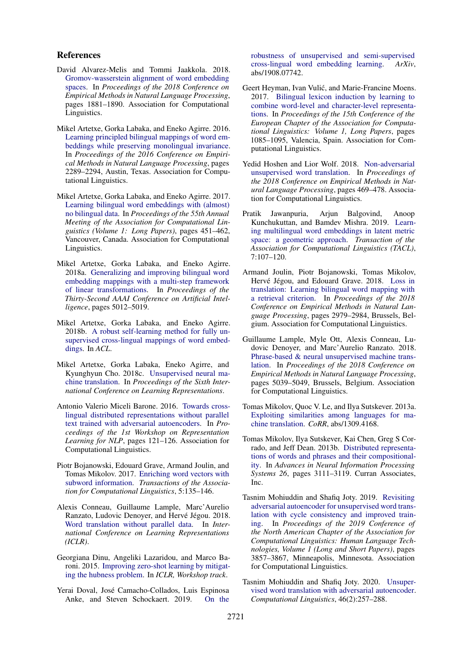#### References

- <span id="page-9-11"></span>David Alvarez-Melis and Tommi Jaakkola. 2018. [Gromov-wasserstein alignment of word embedding](http://aclweb.org/anthology/D18-1214) [spaces.](http://aclweb.org/anthology/D18-1214) In *Proceedings of the 2018 Conference on Empirical Methods in Natural Language Processing*, pages 1881–1890. Association for Computational Linguistics.
- <span id="page-9-4"></span>Mikel Artetxe, Gorka Labaka, and Eneko Agirre. 2016. [Learning principled bilingual mappings of word em](https://aclweb.org/anthology/D16-1250)[beddings while preserving monolingual invariance.](https://aclweb.org/anthology/D16-1250) In *Proceedings of the 2016 Conference on Empirical Methods in Natural Language Processing*, pages 2289–2294, Austin, Texas. Association for Computational Linguistics.
- <span id="page-9-5"></span>Mikel Artetxe, Gorka Labaka, and Eneko Agirre. 2017. [Learning bilingual word embeddings with \(almost\)](http://aclweb.org/anthology/P17-1042) [no bilingual data.](http://aclweb.org/anthology/P17-1042) In *Proceedings of the 55th Annual Meeting of the Association for Computational Linguistics (Volume 1: Long Papers)*, pages 451–462, Vancouver, Canada. Association for Computational Linguistics.
- <span id="page-9-6"></span>Mikel Artetxe, Gorka Labaka, and Eneko Agirre. 2018a. [Generalizing and improving bilingual word](https://www.aaai.org/ocs/index.php/AAAI/AAAI18/paper/view/16935) [embedding mappings with a multi-step framework](https://www.aaai.org/ocs/index.php/AAAI/AAAI18/paper/view/16935) [of linear transformations.](https://www.aaai.org/ocs/index.php/AAAI/AAAI18/paper/view/16935) In *Proceedings of the Thirty-Second AAAI Conference on Artificial Intelligence*, pages 5012–5019.
- <span id="page-9-9"></span>Mikel Artetxe, Gorka Labaka, and Eneko Agirre. 2018b. [A robust self-learning method for fully un](https://www.aclweb.org/anthology/P18-1073/)[supervised cross-lingual mappings of word embed](https://www.aclweb.org/anthology/P18-1073/)[dings.](https://www.aclweb.org/anthology/P18-1073/) In *ACL*.
- <span id="page-9-2"></span>Mikel Artetxe, Gorka Labaka, Eneko Agirre, and Kyunghyun Cho. 2018c. [Unsupervised neural ma](https://openreview.net/pdf?id=Sy2ogebAW)[chine translation.](https://openreview.net/pdf?id=Sy2ogebAW) In *Proceedings of the Sixth International Conference on Learning Representations*.
- <span id="page-9-7"></span>Antonio Valerio Miceli Barone. 2016. [Towards cross](https://doi.org/10.18653/v1/W16-1614)[lingual distributed representations without parallel](https://doi.org/10.18653/v1/W16-1614) [text trained with adversarial autoencoders.](https://doi.org/10.18653/v1/W16-1614) In *Proceedings of the 1st Workshop on Representation Learning for NLP*, pages 121–126. Association for Computational Linguistics.
- <span id="page-9-16"></span>Piotr Bojanowski, Edouard Grave, Armand Joulin, and Tomas Mikolov. 2017. [Enriching word vectors with](https://www.aclweb.org/anthology/Q17-1010.pdf) [subword information.](https://www.aclweb.org/anthology/Q17-1010.pdf) *Transactions of the Association for Computational Linguistics*, 5:135–146.
- <span id="page-9-8"></span>Alexis Conneau, Guillaume Lample, Marc'Aurelio Ranzato, Ludovic Denover, and Hervé Jégou. 2018. [Word translation without parallel data.](https://openreview.net/forum?id=H196sainb) In *International Conference on Learning Representations (ICLR)*.
- <span id="page-9-17"></span>Georgiana Dinu, Angeliki Lazaridou, and Marco Baroni. 2015. [Improving zero-shot learning by mitigat](https://arxiv.org/abs/1412.6568)[ing the hubness problem.](https://arxiv.org/abs/1412.6568) In *ICLR, Workshop track*.
- <span id="page-9-14"></span>Yerai Doval, Jose Camacho-Collados, Luis Espinosa ´ Anke, and Steven Schockaert. 2019. [On the](https://arxiv.org/abs/1908.07742)

[robustness of unsupervised and semi-supervised](https://arxiv.org/abs/1908.07742) [cross-lingual word embedding learning.](https://arxiv.org/abs/1908.07742) *ArXiv*, abs/1908.07742.

- <span id="page-9-0"></span>Geert Heyman, Ivan Vulić, and Marie-Francine Moens. 2017. [Bilingual lexicon induction by learning to](https://www.aclweb.org/anthology/E17-1102) [combine word-level and character-level representa](https://www.aclweb.org/anthology/E17-1102)[tions.](https://www.aclweb.org/anthology/E17-1102) In *Proceedings of the 15th Conference of the European Chapter of the Association for Computational Linguistics: Volume 1, Long Papers*, pages 1085–1095, Valencia, Spain. Association for Computational Linguistics.
- <span id="page-9-10"></span>Yedid Hoshen and Lior Wolf. 2018. [Non-adversarial](http://aclweb.org/anthology/D18-1043) [unsupervised word translation.](http://aclweb.org/anthology/D18-1043) In *Proceedings of the 2018 Conference on Empirical Methods in Natural Language Processing*, pages 469–478. Association for Computational Linguistics.
- <span id="page-9-19"></span>Pratik Jawanpuria, Arjun Balgovind, Anoop Kunchukuttan, and Bamdev Mishra. 2019. [Learn](https://www.aclweb.org/anthology/Q19-1007.pdf)[ing multilingual word embeddings in latent metric](https://www.aclweb.org/anthology/Q19-1007.pdf) [space: a geometric approach.](https://www.aclweb.org/anthology/Q19-1007.pdf) *Transaction of the Association for Computational Linguistics (TACL)*, 7:107–120.
- <span id="page-9-15"></span>Armand Joulin, Piotr Bojanowski, Tomas Mikolov, Hervé Jégou, and Edouard Grave. 2018. [Loss in](https://doi.org/10.18653/v1/D18-1330) [translation: Learning bilingual word mapping with](https://doi.org/10.18653/v1/D18-1330) [a retrieval criterion.](https://doi.org/10.18653/v1/D18-1330) In *Proceedings of the 2018 Conference on Empirical Methods in Natural Language Processing*, pages 2979–2984, Brussels, Belgium. Association for Computational Linguistics.
- <span id="page-9-1"></span>Guillaume Lample, Myle Ott, Alexis Conneau, Ludovic Denoyer, and Marc'Aurelio Ranzato. 2018. [Phrase-based & neural unsupervised machine trans](https://doi.org/10.18653/v1/D18-1549)[lation.](https://doi.org/10.18653/v1/D18-1549) In *Proceedings of the 2018 Conference on Empirical Methods in Natural Language Processing*, pages 5039–5049, Brussels, Belgium. Association for Computational Linguistics.
- <span id="page-9-3"></span>Tomas Mikolov, Quoc V. Le, and Ilya Sutskever. 2013a. [Exploiting similarities among languages for ma](http://arxiv.org/abs/1309.4168)[chine translation.](http://arxiv.org/abs/1309.4168) *CoRR*, abs/1309.4168.
- <span id="page-9-18"></span>Tomas Mikolov, Ilya Sutskever, Kai Chen, Greg S Corrado, and Jeff Dean. 2013b. [Distributed representa](http://papers.nips.cc/paper/5021-distributed-representations-of-words-and-phrases-and-their-compositionality.pdf)[tions of words and phrases and their compositional](http://papers.nips.cc/paper/5021-distributed-representations-of-words-and-phrases-and-their-compositionality.pdf)[ity.](http://papers.nips.cc/paper/5021-distributed-representations-of-words-and-phrases-and-their-compositionality.pdf) In *Advances in Neural Information Processing Systems 26*, pages 3111–3119. Curran Associates, Inc.
- <span id="page-9-12"></span>Tasnim Mohiuddin and Shafiq Joty. 2019. [Revisiting](https://doi.org/10.18653/v1/N19-1386) [adversarial autoencoder for unsupervised word trans](https://doi.org/10.18653/v1/N19-1386)[lation with cycle consistency and improved train](https://doi.org/10.18653/v1/N19-1386)[ing.](https://doi.org/10.18653/v1/N19-1386) In *Proceedings of the 2019 Conference of the North American Chapter of the Association for Computational Linguistics: Human Language Technologies, Volume 1 (Long and Short Papers)*, pages 3857–3867, Minneapolis, Minnesota. Association for Computational Linguistics.
- <span id="page-9-13"></span>Tasnim Mohiuddin and Shafiq Joty. 2020. [Unsuper](https://doi.org/10.1162/coli_a_00374)[vised word translation with adversarial autoencoder.](https://doi.org/10.1162/coli_a_00374) *Computational Linguistics*, 46(2):257–288.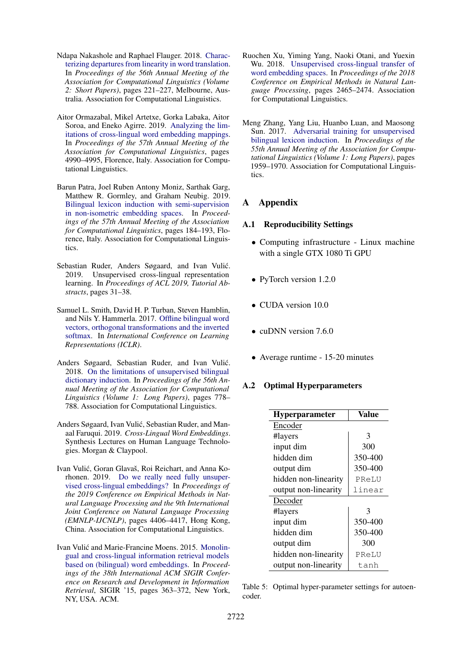- <span id="page-10-10"></span>Ndapa Nakashole and Raphael Flauger. 2018. [Charac](https://doi.org/10.18653/v1/P18-2036)[terizing departures from linearity in word translation.](https://doi.org/10.18653/v1/P18-2036) In *Proceedings of the 56th Annual Meeting of the Association for Computational Linguistics (Volume 2: Short Papers)*, pages 221–227, Melbourne, Australia. Association for Computational Linguistics.
- <span id="page-10-6"></span>Aitor Ormazabal, Mikel Artetxe, Gorka Labaka, Aitor Soroa, and Eneko Agirre. 2019. [Analyzing the lim](https://doi.org/10.18653/v1/P19-1492)[itations of cross-lingual word embedding mappings.](https://doi.org/10.18653/v1/P19-1492) In *Proceedings of the 57th Annual Meeting of the Association for Computational Linguistics*, pages 4990–4995, Florence, Italy. Association for Computational Linguistics.
- <span id="page-10-8"></span>Barun Patra, Joel Ruben Antony Moniz, Sarthak Garg, Matthew R. Gormley, and Graham Neubig. 2019. [Bilingual lexicon induction with semi-supervision](https://doi.org/10.18653/v1/P19-1018) [in non-isometric embedding spaces.](https://doi.org/10.18653/v1/P19-1018) In *Proceedings of the 57th Annual Meeting of the Association for Computational Linguistics*, pages 184–193, Florence, Italy. Association for Computational Linguistics.
- <span id="page-10-1"></span>Sebastian Ruder, Anders Søgaard, and Ivan Vulić. 2019. Unsupervised cross-lingual representation learning. In *Proceedings of ACL 2019, Tutorial Abstracts*, pages 31–38.
- <span id="page-10-2"></span>Samuel L. Smith, David H. P. Turban, Steven Hamblin, and Nils Y. Hammerla. 2017. [Offline bilingual word](http://arxiv.org/abs/1702.03859) [vectors, orthogonal transformations and the inverted](http://arxiv.org/abs/1702.03859) [softmax.](http://arxiv.org/abs/1702.03859) In *International Conference on Learning Representations (ICLR)*.
- <span id="page-10-7"></span>Anders Søgaard, Sebastian Ruder, and Ivan Vulić. 2018. [On the limitations of unsupervised bilingual](http://aclweb.org/anthology/P18-1072) [dictionary induction.](http://aclweb.org/anthology/P18-1072) In *Proceedings of the 56th Annual Meeting of the Association for Computational Linguistics (Volume 1: Long Papers)*, pages 778– 788. Association for Computational Linguistics.
- <span id="page-10-9"></span>Anders Søgaard, Ivan Vulić, Sebastian Ruder, and Manaal Faruqui. 2019. *Cross-Lingual Word Embeddings*. Synthesis Lectures on Human Language Technologies. Morgan & Claypool.
- <span id="page-10-5"></span>Ivan Vulić, Goran Glavaš, Roi Reichart, and Anna Korhonen. 2019. [Do we really need fully unsuper](https://doi.org/10.18653/v1/D19-1449)[vised cross-lingual embeddings?](https://doi.org/10.18653/v1/D19-1449) In *Proceedings of the 2019 Conference on Empirical Methods in Natural Language Processing and the 9th International Joint Conference on Natural Language Processing (EMNLP-IJCNLP)*, pages 4406–4417, Hong Kong, China. Association for Computational Linguistics.
- <span id="page-10-0"></span>Ivan Vulić and Marie-Francine Moens. 2015. [Monolin](https://doi.org/10.1145/2766462.2767752)[gual and cross-lingual information retrieval models](https://doi.org/10.1145/2766462.2767752) [based on \(bilingual\) word embeddings.](https://doi.org/10.1145/2766462.2767752) In *Proceedings of the 38th International ACM SIGIR Conference on Research and Development in Information Retrieval*, SIGIR '15, pages 363–372, New York, NY, USA. ACM.
- <span id="page-10-4"></span>Ruochen Xu, Yiming Yang, Naoki Otani, and Yuexin Wu. 2018. [Unsupervised cross-lingual transfer of](http://aclweb.org/anthology/D18-1268) [word embedding spaces.](http://aclweb.org/anthology/D18-1268) In *Proceedings of the 2018 Conference on Empirical Methods in Natural Language Processing*, pages 2465–2474. Association for Computational Linguistics.
- <span id="page-10-3"></span>Meng Zhang, Yang Liu, Huanbo Luan, and Maosong Sun. 2017. [Adversarial training for unsupervised](https://doi.org/10.18653/v1/P17-1179) [bilingual lexicon induction.](https://doi.org/10.18653/v1/P17-1179) In *Proceedings of the 55th Annual Meeting of the Association for Computational Linguistics (Volume 1: Long Papers)*, pages 1959–1970. Association for Computational Linguistics.

# A Appendix

#### A.1 Reproducibility Settings

- Computing infrastructure Linux machine with a single GTX 1080 Ti GPU
- PyTorch version 1.2.0
- CUDA version 10.0
- cuDNN version 7.6.0
- Average runtime 15-20 minutes

# A.2 Optimal Hyperparameters

| <b>Hyperparameter</b> | Value   |
|-----------------------|---------|
| Encoder               |         |
| #layers               | 3       |
| input dim             | 300     |
| hidden dim            | 350-400 |
| output dim            | 350-400 |
| hidden non-linearity  | PReLU   |
| output non-linearity  | linear  |
| Decoder               |         |
| #layers               | 3       |
| input dim             | 350-400 |
| hidden dim            | 350-400 |
| output dim            | 300     |
| hidden non-linearity  | PReLU   |
| output non-linearity  | tanh    |

Table 5: Optimal hyper-parameter settings for autoencoder.